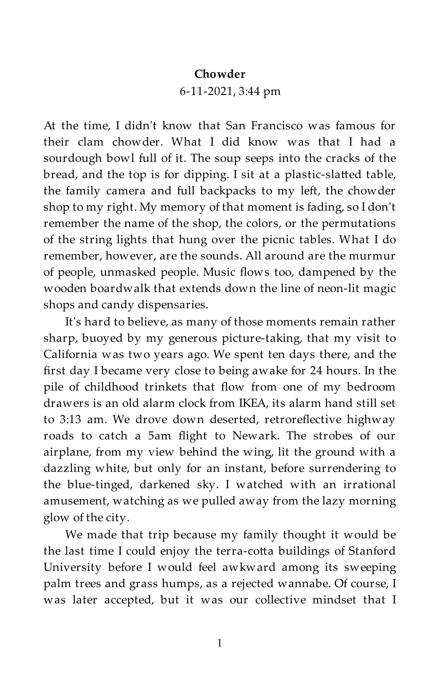## **Chowder**

## 6-11-2021, 3:44 pm

At the time, I didn't know that San Francisco was famous for their clam chowder. What I did know was that I had a sourdough bowl full of it. The soup seeps into the cracks of the bread, and the top is for dipping. I sit at a plastic-slatted table, the family camera and full backpacks to my left, the chowder shop to my right. My memory of that moment is fading, so I don't remember the name of the shop, the colors, or the permutations of the string lights that hung over the picnic tables. What I do remember, however, are the sounds. All around are the murmur of people, unmasked people. Music flows too, dampened by the wooden boardwalk that extends down the line of neon-lit magic shops and candy dispensaries.

It's hard to believe, as many of those moments remain rather sharp, buoyed by my generous picture-taking, that my visit to California was two years ago. We spent ten days there, and the first day I became very close to being awake for 24 hours. In the pile of childhood trinkets that flow from one of my bedroom drawers is an old alarm clock from IKEA, its alarm hand still set to 3:13 am. We drove down deserted, retroreflective highway roads to catch a 5am flight to Newark. The strobes of our airplane, from my view behind the wing, lit the ground with a dazzling white, but only for an instant, before surrendering to the blue-tinged, darkened sky. I watched with an irrational amusement, watching as we pulled away from the lazy morning glow of the city.

We made that trip because my family thought it would be the last time I could enjoy the terra-cotta buildings of Stanford University before I would feel awkward among its sweeping palm trees and grass humps, as a rejected wannabe. Of course, I was later accepted, but it was our collective mindset that I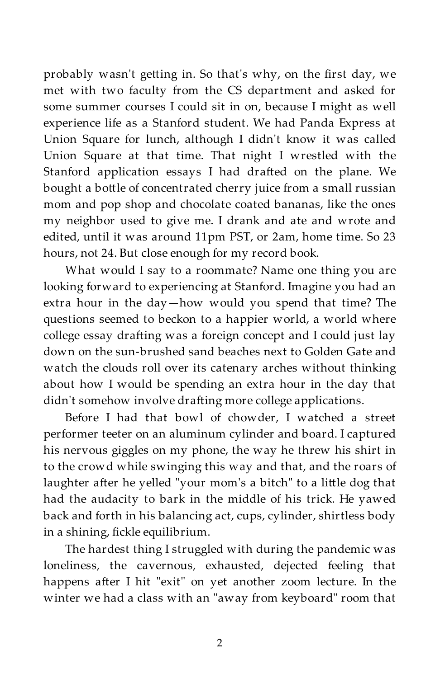probably wasn't getting in. So that's why, on the first day, we met with two faculty from the CS department and asked for some summer courses I could sit in on, because I might as well experience life as a Stanford student. We had Panda Express at Union Square for lunch, although I didn't know it was called Union Square at that time. That night I wrestled with the Stanford application essays I had drafted on the plane. We bought a bottle of concentrated cherry juice from a small russian mom and pop shop and chocolate coated bananas, like the ones my neighbor used to give me. I drank and ate and wrote and edited, until it was around 11pm PST, or 2am, home time. So 23 hours, not 24. But close enough for my record book.

What would I say to a roommate? Name one thing you are looking forward to experiencing at Stanford. Imagine you had an extra hour in the day—how would you spend that time? The questions seemed to beckon to a happier world, a world where college essay drafting was a foreign concept and I could just lay down on the sun-brushed sand beaches next to Golden Gate and watch the clouds roll over its catenary arches without thinking about how I would be spending an extra hour in the day that didn't somehow involve drafting more college applications.

Before I had that bowl of chowder, I watched a street performer teeter on an aluminum cylinder and board. I captured his nervous giggles on my phone, the way he threw his shirt in to the crowd while swinging this way and that, and the roars of laughter after he yelled "your mom's a bitch" to a little dog that had the audacity to bark in the middle of his trick. He yawed back and forth in his balancing act, cups, cylinder, shirtless body in a shining, fickle equilibrium.

The hardest thing I struggled with during the pandemic was loneliness, the cavernous, exhausted, dejected feeling that happens after I hit "exit" on yet another zoom lecture. In the winter we had a class with an "away from keyboard" room that